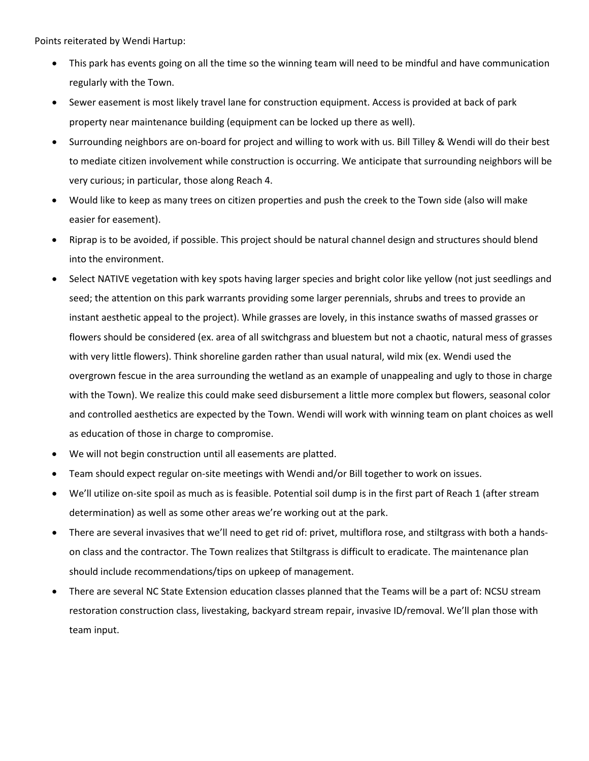Points reiterated by Wendi Hartup:

- This park has events going on all the time so the winning team will need to be mindful and have communication regularly with the Town.
- Sewer easement is most likely travel lane for construction equipment. Access is provided at back of park property near maintenance building (equipment can be locked up there as well).
- Surrounding neighbors are on-board for project and willing to work with us. Bill Tilley & Wendi will do their best to mediate citizen involvement while construction is occurring. We anticipate that surrounding neighbors will be very curious; in particular, those along Reach 4.
- Would like to keep as many trees on citizen properties and push the creek to the Town side (also will make easier for easement).
- Riprap is to be avoided, if possible. This project should be natural channel design and structures should blend into the environment.
- Select NATIVE vegetation with key spots having larger species and bright color like yellow (not just seedlings and seed; the attention on this park warrants providing some larger perennials, shrubs and trees to provide an instant aesthetic appeal to the project). While grasses are lovely, in this instance swaths of massed grasses or flowers should be considered (ex. area of all switchgrass and bluestem but not a chaotic, natural mess of grasses with very little flowers). Think shoreline garden rather than usual natural, wild mix (ex. Wendi used the overgrown fescue in the area surrounding the wetland as an example of unappealing and ugly to those in charge with the Town). We realize this could make seed disbursement a little more complex but flowers, seasonal color and controlled aesthetics are expected by the Town. Wendi will work with winning team on plant choices as well as education of those in charge to compromise.
- We will not begin construction until all easements are platted.
- Team should expect regular on-site meetings with Wendi and/or Bill together to work on issues.
- We'll utilize on-site spoil as much as is feasible. Potential soil dump is in the first part of Reach 1 (after stream determination) as well as some other areas we're working out at the park.
- There are several invasives that we'll need to get rid of: privet, multiflora rose, and stiltgrass with both a handson class and the contractor. The Town realizes that Stiltgrass is difficult to eradicate. The maintenance plan should include recommendations/tips on upkeep of management.
- There are several NC State Extension education classes planned that the Teams will be a part of: NCSU stream restoration construction class, livestaking, backyard stream repair, invasive ID/removal. We'll plan those with team input.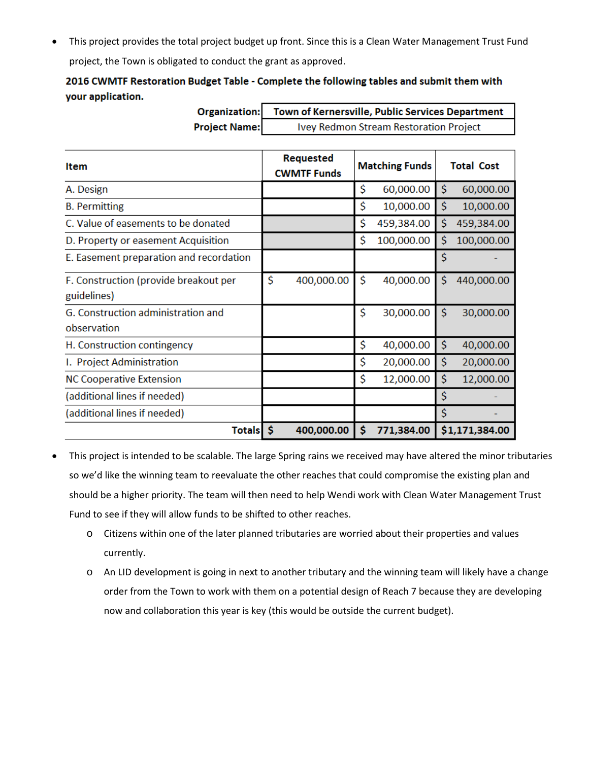• This project provides the total project budget up front. Since this is a Clean Water Management Trust Fund project, the Town is obligated to conduct the grant as approved.

## 2016 CWMTF Restoration Budget Table - Complete the following tables and submit them with your application.

 $\mathbf{I}$ 

| Organization:                                        | Town of Kernersville, Public Services Department |                       |                   |
|------------------------------------------------------|--------------------------------------------------|-----------------------|-------------------|
| <b>Project Name:</b>                                 | Ivey Redmon Stream Restoration Project           |                       |                   |
|                                                      |                                                  |                       |                   |
| <b>Item</b>                                          | Requested<br><b>CWMTF Funds</b>                  | <b>Matching Funds</b> | <b>Total Cost</b> |
| A. Design                                            |                                                  | \$<br>60,000.00       | \$<br>60,000.00   |
| <b>B.</b> Permitting                                 |                                                  | \$<br>10,000.00       | \$<br>10,000.00   |
| C. Value of easements to be donated                  |                                                  | \$<br>459,384.00      | \$<br>459,384.00  |
| D. Property or easement Acquisition                  |                                                  | \$<br>100,000.00      | \$<br>100,000.00  |
| E. Easement preparation and recordation              |                                                  |                       | Ś                 |
| F. Construction (provide breakout per<br>guidelines) | \$<br>400,000.00                                 | \$<br>40,000.00       | 440,000.00<br>Ś   |
| G. Construction administration and<br>observation    |                                                  | \$<br>30,000.00       | \$<br>30,000.00   |
| H. Construction contingency                          |                                                  | \$<br>40,000.00       | \$<br>40,000.00   |
| I. Project Administration                            |                                                  | \$<br>20,000.00       | \$<br>20,000.00   |
| <b>NC Cooperative Extension</b>                      |                                                  | \$<br>12,000.00       | \$<br>12,000.00   |
| (additional lines if needed)                         |                                                  |                       | Ś                 |
| (additional lines if needed)                         |                                                  |                       | Ś                 |
| Totals \$                                            | 400,000.00                                       | \$<br>771,384.00      | \$1,171,384.00    |

• This project is intended to be scalable. The large Spring rains we received may have altered the minor tributaries so we'd like the winning team to reevaluate the other reaches that could compromise the existing plan and should be a higher priority. The team will then need to help Wendi work with Clean Water Management Trust Fund to see if they will allow funds to be shifted to other reaches.

- o Citizens within one of the later planned tributaries are worried about their properties and values currently.
- o An LID development is going in next to another tributary and the winning team will likely have a change order from the Town to work with them on a potential design of Reach 7 because they are developing now and collaboration this year is key (this would be outside the current budget).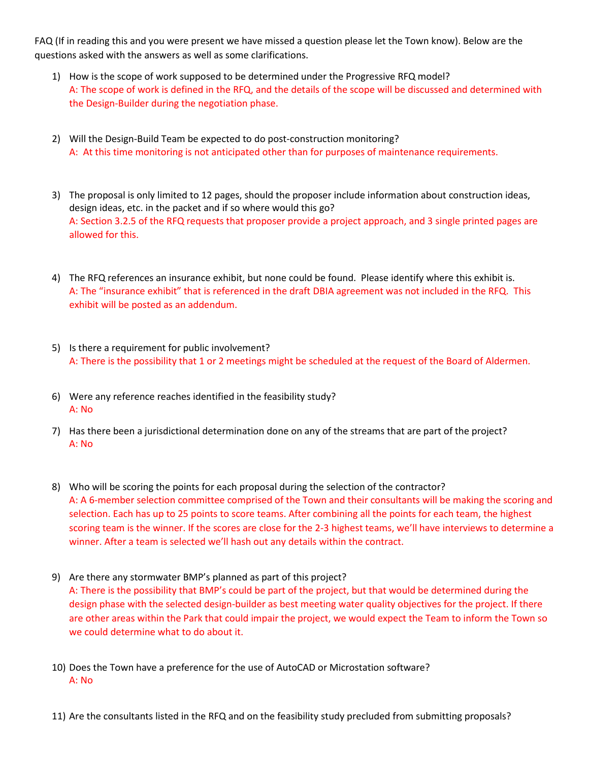FAQ (If in reading this and you were present we have missed a question please let the Town know). Below are the questions asked with the answers as well as some clarifications.

- 1) How is the scope of work supposed to be determined under the Progressive RFQ model? A: The scope of work is defined in the RFQ, and the details of the scope will be discussed and determined with the Design-Builder during the negotiation phase.
- 2) Will the Design-Build Team be expected to do post-construction monitoring? A: At this time monitoring is not anticipated other than for purposes of maintenance requirements.
- 3) The proposal is only limited to 12 pages, should the proposer include information about construction ideas, design ideas, etc. in the packet and if so where would this go? A: Section 3.2.5 of the RFQ requests that proposer provide a project approach, and 3 single printed pages are allowed for this.
- 4) The RFQ references an insurance exhibit, but none could be found. Please identify where this exhibit is. A: The "insurance exhibit" that is referenced in the draft DBIA agreement was not included in the RFQ. This exhibit will be posted as an addendum.
- 5) Is there a requirement for public involvement? A: There is the possibility that 1 or 2 meetings might be scheduled at the request of the Board of Aldermen.
- 6) Were any reference reaches identified in the feasibility study? A: No
- 7) Has there been a jurisdictional determination done on any of the streams that are part of the project? A: No
- 8) Who will be scoring the points for each proposal during the selection of the contractor? A: A 6-member selection committee comprised of the Town and their consultants will be making the scoring and selection. Each has up to 25 points to score teams. After combining all the points for each team, the highest scoring team is the winner. If the scores are close for the 2-3 highest teams, we'll have interviews to determine a winner. After a team is selected we'll hash out any details within the contract.
- 9) Are there any stormwater BMP's planned as part of this project?

A: There is the possibility that BMP's could be part of the project, but that would be determined during the design phase with the selected design-builder as best meeting water quality objectives for the project. If there are other areas within the Park that could impair the project, we would expect the Team to inform the Town so we could determine what to do about it.

- 10) Does the Town have a preference for the use of AutoCAD or Microstation software? A: No
- 11) Are the consultants listed in the RFQ and on the feasibility study precluded from submitting proposals?